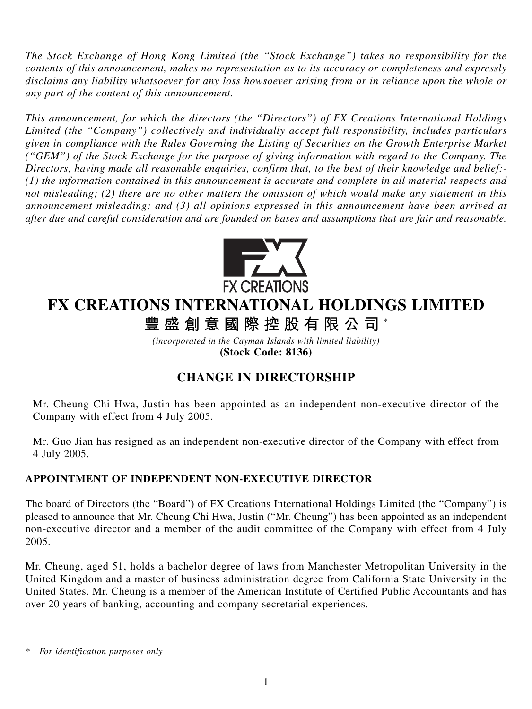*The Stock Exchange of Hong Kong Limited (the "Stock Exchange") takes no responsibility for the contents of this announcement, makes no representation as to its accuracy or completeness and expressly disclaims any liability whatsoever for any loss howsoever arising from or in reliance upon the whole or any part of the content of this announcement.*

*This announcement, for which the directors (the "Directors") of FX Creations International Holdings Limited (the "Company") collectively and individually accept full responsibility, includes particulars given in compliance with the Rules Governing the Listing of Securities on the Growth Enterprise Market ("GEM") of the Stock Exchange for the purpose of giving information with regard to the Company. The Directors, having made all reasonable enquiries, confirm that, to the best of their knowledge and belief:- (1) the information contained in this announcement is accurate and complete in all material respects and not misleading; (2) there are no other matters the omission of which would make any statement in this announcement misleading; and (3) all opinions expressed in this announcement have been arrived at after due and careful consideration and are founded on bases and assumptions that are fair and reasonable.*



## **FX CREATIONS INTERNATIONAL HOLDINGS LIMITED**

**豐盛創意國際控股有限公司** \*

*(incorporated in the Cayman Islands with limited liability)* **(Stock Code: 8136)**

## **CHANGE IN DIRECTORSHIP**

Mr. Cheung Chi Hwa, Justin has been appointed as an independent non-executive director of the Company with effect from 4 July 2005.

Mr. Guo Jian has resigned as an independent non-executive director of the Company with effect from 4 July 2005.

## **APPOINTMENT OF INDEPENDENT NON-EXECUTIVE DIRECTOR**

The board of Directors (the "Board") of FX Creations International Holdings Limited (the "Company") is pleased to announce that Mr. Cheung Chi Hwa, Justin ("Mr. Cheung") has been appointed as an independent non-executive director and a member of the audit committee of the Company with effect from 4 July 2005.

Mr. Cheung, aged 51, holds a bachelor degree of laws from Manchester Metropolitan University in the United Kingdom and a master of business administration degree from California State University in the United States. Mr. Cheung is a member of the American Institute of Certified Public Accountants and has over 20 years of banking, accounting and company secretarial experiences.

*\* For identification purposes only*